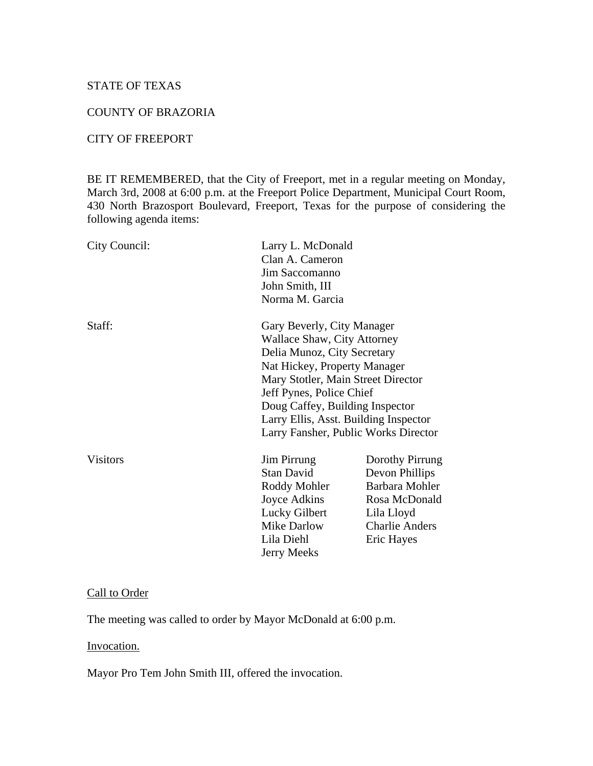## STATE OF TEXAS

# COUNTY OF BRAZORIA

#### CITY OF FREEPORT

BE IT REMEMBERED, that the City of Freeport, met in a regular meeting on Monday, March 3rd, 2008 at 6:00 p.m. at the Freeport Police Department, Municipal Court Room, 430 North Brazosport Boulevard, Freeport, Texas for the purpose of considering the following agenda items:

| City Council:                         | Larry L. McDonald<br>Clan A. Cameron<br>Jim Saccomanno<br>John Smith, III |                                     |
|---------------------------------------|---------------------------------------------------------------------------|-------------------------------------|
|                                       |                                                                           |                                     |
|                                       |                                                                           |                                     |
|                                       | Staff:                                                                    | Gary Beverly, City Manager          |
| Wallace Shaw, City Attorney           |                                                                           |                                     |
| Delia Munoz, City Secretary           |                                                                           |                                     |
| Nat Hickey, Property Manager          |                                                                           |                                     |
| Mary Stotler, Main Street Director    |                                                                           |                                     |
| Jeff Pynes, Police Chief              |                                                                           |                                     |
| Doug Caffey, Building Inspector       |                                                                           |                                     |
| Larry Ellis, Asst. Building Inspector |                                                                           |                                     |
| Larry Fansher, Public Works Director  |                                                                           |                                     |
| <b>Visitors</b>                       | Jim Pirrung                                                               | Dorothy Pirrung                     |
|                                       | Stan David                                                                | Devon Phillips                      |
|                                       | Roddy Mohler                                                              | Barbara Mohler                      |
|                                       | Joyce Adkins                                                              | Rosa McDonald                       |
|                                       | Lucky Gilbert                                                             | Lila Lloyd                          |
|                                       |                                                                           |                                     |
|                                       |                                                                           |                                     |
|                                       |                                                                           |                                     |
|                                       | Mike Darlow<br>Lila Diehl<br>Jerry Meeks                                  | <b>Charlie Anders</b><br>Eric Hayes |

### Call to Order

The meeting was called to order by Mayor McDonald at 6:00 p.m.

#### Invocation.

Mayor Pro Tem John Smith III, offered the invocation.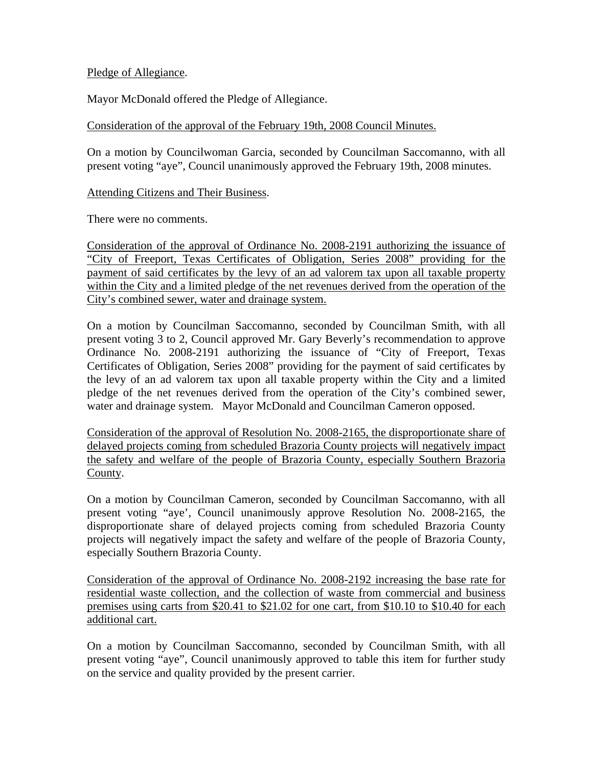## Pledge of Allegiance.

Mayor McDonald offered the Pledge of Allegiance.

## Consideration of the approval of the February 19th, 2008 Council Minutes.

On a motion by Councilwoman Garcia, seconded by Councilman Saccomanno, with all present voting "aye", Council unanimously approved the February 19th, 2008 minutes.

Attending Citizens and Their Business.

There were no comments.

Consideration of the approval of Ordinance No. 2008-2191 authorizing the issuance of "City of Freeport, Texas Certificates of Obligation, Series 2008" providing for the payment of said certificates by the levy of an ad valorem tax upon all taxable property within the City and a limited pledge of the net revenues derived from the operation of the City's combined sewer, water and drainage system.

On a motion by Councilman Saccomanno, seconded by Councilman Smith, with all present voting 3 to 2, Council approved Mr. Gary Beverly's recommendation to approve Ordinance No. 2008-2191 authorizing the issuance of "City of Freeport, Texas Certificates of Obligation, Series 2008" providing for the payment of said certificates by the levy of an ad valorem tax upon all taxable property within the City and a limited pledge of the net revenues derived from the operation of the City's combined sewer, water and drainage system. Mayor McDonald and Councilman Cameron opposed.

Consideration of the approval of Resolution No. 2008-2165, the disproportionate share of delayed projects coming from scheduled Brazoria County projects will negatively impact the safety and welfare of the people of Brazoria County, especially Southern Brazoria County.

On a motion by Councilman Cameron, seconded by Councilman Saccomanno, with all present voting "aye', Council unanimously approve Resolution No. 2008-2165, the disproportionate share of delayed projects coming from scheduled Brazoria County projects will negatively impact the safety and welfare of the people of Brazoria County, especially Southern Brazoria County.

Consideration of the approval of Ordinance No. 2008-2192 increasing the base rate for residential waste collection, and the collection of waste from commercial and business premises using carts from \$20.41 to \$21.02 for one cart, from \$10.10 to \$10.40 for each additional cart.

On a motion by Councilman Saccomanno, seconded by Councilman Smith, with all present voting "aye", Council unanimously approved to table this item for further study on the service and quality provided by the present carrier.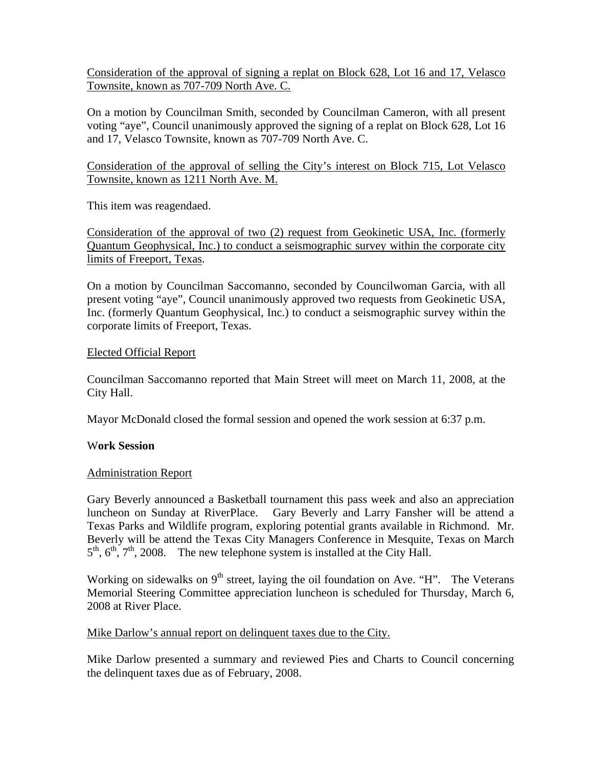Consideration of the approval of signing a replat on Block 628, Lot 16 and 17, Velasco Townsite, known as 707-709 North Ave. C.

On a motion by Councilman Smith, seconded by Councilman Cameron, with all present voting "aye", Council unanimously approved the signing of a replat on Block 628, Lot 16 and 17, Velasco Townsite, known as 707-709 North Ave. C.

Consideration of the approval of selling the City's interest on Block 715, Lot Velasco Townsite, known as 1211 North Ave. M.

This item was reagendaed.

Consideration of the approval of two (2) request from Geokinetic USA, Inc. (formerly Quantum Geophysical, Inc.) to conduct a seismographic survey within the corporate city limits of Freeport, Texas.

On a motion by Councilman Saccomanno, seconded by Councilwoman Garcia, with all present voting "aye", Council unanimously approved two requests from Geokinetic USA, Inc. (formerly Quantum Geophysical, Inc.) to conduct a seismographic survey within the corporate limits of Freeport, Texas.

### Elected Official Report

Councilman Saccomanno reported that Main Street will meet on March 11, 2008, at the City Hall.

Mayor McDonald closed the formal session and opened the work session at 6:37 p.m.

# W**ork Session**

# Administration Report

Gary Beverly announced a Basketball tournament this pass week and also an appreciation luncheon on Sunday at RiverPlace. Gary Beverly and Larry Fansher will be attend a Texas Parks and Wildlife program, exploring potential grants available in Richmond. Mr. Beverly will be attend the Texas City Managers Conference in Mesquite, Texas on March  $5<sup>th</sup>$ ,  $6<sup>th</sup>$ ,  $7<sup>th</sup>$ , 2008. The new telephone system is installed at the City Hall.

Working on sidewalks on  $9<sup>th</sup>$  street, laying the oil foundation on Ave. "H". The Veterans Memorial Steering Committee appreciation luncheon is scheduled for Thursday, March 6, 2008 at River Place.

# Mike Darlow's annual report on delinquent taxes due to the City.

Mike Darlow presented a summary and reviewed Pies and Charts to Council concerning the delinquent taxes due as of February, 2008.